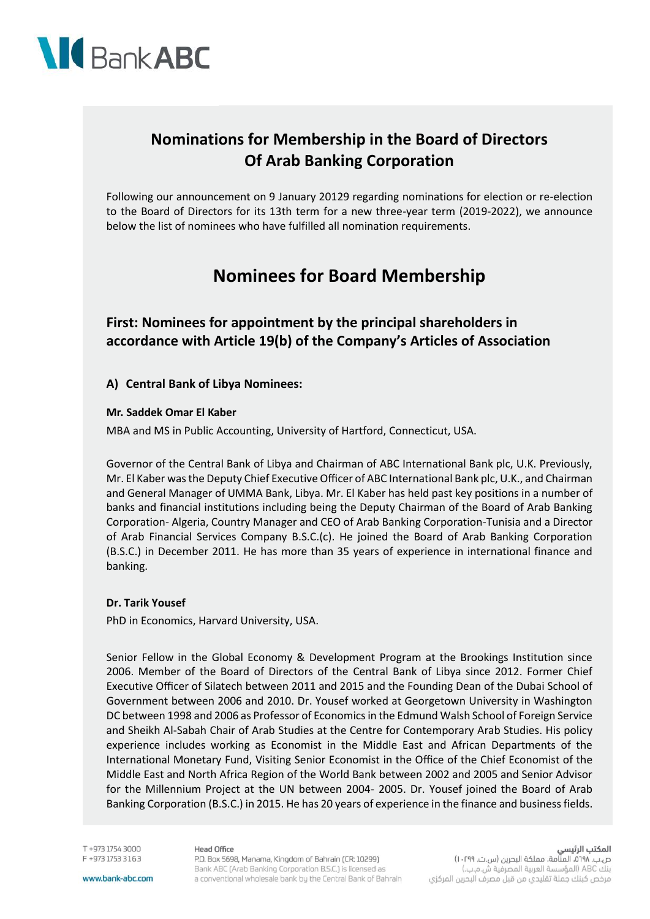

## **Nominations for Membership in the Board of Directors Of Arab Banking Corporation**

Following our announcement on 9 January 20129 regarding nominations for election or re-election to the Board of Directors for its 13th term for a new three-year term (2019-2022), we announce below the list of nominees who have fulfilled all nomination requirements.

## **Nominees for Board Membership**

**First: Nominees for appointment by the principal shareholders in accordance with Article 19(b) of the Company's Articles of Association**

#### **A) Central Bank of Libya Nominees:**

#### **Mr. Saddek Omar El Kaber**

MBA and MS in Public Accounting, University of Hartford, Connecticut, USA.

Governor of the Central Bank of Libya and Chairman of ABC International Bank plc, U.K. Previously, Mr. El Kaber was the Deputy Chief Executive Officer of ABC International Bank plc, U.K., and Chairman and General Manager of UMMA Bank, Libya. Mr. El Kaber has held past key positions in a number of banks and financial institutions including being the Deputy Chairman of the Board of Arab Banking Corporation- Algeria, Country Manager and CEO of Arab Banking Corporation-Tunisia and a Director of Arab Financial Services Company B.S.C.(c). He joined the Board of Arab Banking Corporation (B.S.C.) in December 2011. He has more than 35 years of experience in international finance and banking.

#### **Dr. Tarik Yousef**

PhD in Economics, Harvard University, USA.

Senior Fellow in the Global Economy & Development Program at the Brookings Institution since 2006. Member of the Board of Directors of the Central Bank of Libya since 2012. Former Chief Executive Officer of Silatech between 2011 and 2015 and the Founding Dean of the Dubai School of Government between 2006 and 2010. Dr. Yousef worked at Georgetown University in Washington DC between 1998 and 2006 as Professor of Economics in the Edmund Walsh School of Foreign Service and Sheikh Al-Sabah Chair of Arab Studies at the Centre for Contemporary Arab Studies. His policy experience includes working as Economist in the Middle East and African Departments of the International Monetary Fund, Visiting Senior Economist in the Office of the Chief Economist of the Middle East and North Africa Region of the World Bank between 2002 and 2005 and Senior Advisor for the Millennium Project at the UN between 2004- 2005. Dr. Yousef joined the Board of Arab Banking Corporation (B.S.C.) in 2015. He has 20 years of experience in the finance and business fields.

T +973 1754 3000 F +973 1753 3163

#### **Head Office**

P.O. Box 5698, Manama, Kingdom of Bahrain (CR: 10299) Bank ABC (Arab Banking Corporation B.S.C.) is licensed as a conventional wholesale bank by the Central Bank of Bahrain المكتب الرئيسي

ص.ب. ١٠٢٩٨، المنامة، مملكة البحرين (س.ت. ١٠٢٩٩) بنك ABC (المؤسسة العربية المصرفية ش.م.ب.) مرخص كبنك جملة تقليدي من قبل مصرف البحرين المركزي

www.bank-abc.com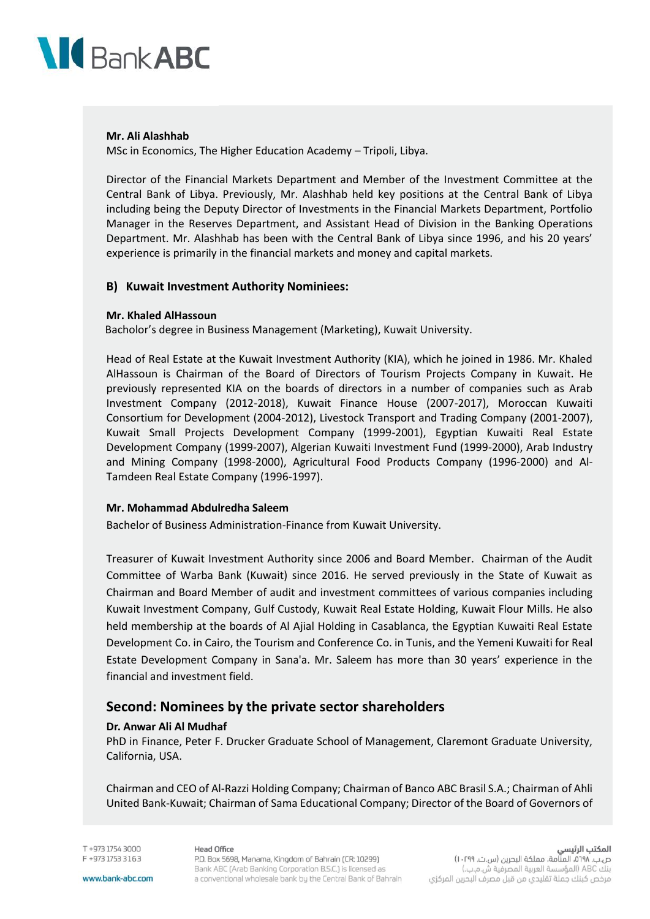

#### **Mr. Ali Alashhab**

MSc in Economics, The Higher Education Academy – Tripoli, Libya.

Director of the Financial Markets Department and Member of the Investment Committee at the Central Bank of Libya. Previously, Mr. Alashhab held key positions at the Central Bank of Libya including being the Deputy Director of Investments in the Financial Markets Department, Portfolio Manager in the Reserves Department, and Assistant Head of Division in the Banking Operations Department. Mr. Alashhab has been with the Central Bank of Libya since 1996, and his 20 years' experience is primarily in the financial markets and money and capital markets.

#### **B) Kuwait Investment Authority Nominiees:**

#### **Mr. Khaled AlHassoun**

Bacholor's degree in Business Management (Marketing), Kuwait University.

Head of Real Estate at the Kuwait Investment Authority (KIA), which he joined in 1986. Mr. Khaled AlHassoun is Chairman of the Board of Directors of Tourism Projects Company in Kuwait. He previously represented KIA on the boards of directors in a number of companies such as Arab Investment Company (2012-2018), Kuwait Finance House (2007-2017), Moroccan Kuwaiti Consortium for Development (2004-2012), Livestock Transport and Trading Company (2001-2007), Kuwait Small Projects Development Company (1999-2001), Egyptian Kuwaiti Real Estate Development Company (1999-2007), Algerian Kuwaiti Investment Fund (1999-2000), Arab Industry and Mining Company (1998-2000), Agricultural Food Products Company (1996-2000) and Al-Tamdeen Real Estate Company (1996-1997).

#### **Mr. Mohammad Abdulredha Saleem**

Bachelor of Business Administration-Finance from Kuwait University.

Treasurer of Kuwait Investment Authority since 2006 and Board Member. Chairman of the Audit Committee of Warba Bank (Kuwait) since 2016. He served previously in the State of Kuwait as Chairman and Board Member of audit and investment committees of various companies including Kuwait Investment Company, Gulf Custody, Kuwait Real Estate Holding, Kuwait Flour Mills. He also held membership at the boards of Al Ajial Holding in Casablanca, the Egyptian Kuwaiti Real Estate Development Co. in Cairo, the Tourism and Conference Co. in Tunis, and the Yemeni Kuwaiti for Real Estate Development Company in Sana'a. Mr. Saleem has more than 30 years' experience in the financial and investment field.

### **Second: Nominees by the private sector shareholders**

#### **Dr. Anwar Ali Al Mudhaf**

PhD in Finance, Peter F. Drucker Graduate School of Management, Claremont Graduate University, California, USA.

Chairman and CEO of Al-Razzi Holding Company; Chairman of Banco ABC Brasil S.A.; Chairman of Ahli United Bank-Kuwait; Chairman of Sama Educational Company; Director of the Board of Governors of

T +973 1754 3000 F +973 1753 3163 **Head Office** 

P.O. Box 5698, Manama, Kingdom of Bahrain (CR: 10299) Bank ABC (Arab Banking Corporation B.S.C.) is licensed as a conventional wholesale bank by the Central Bank of Bahrain

المكتب الرئيسي ص.ب. ١٠٢٩٨، المنامة، مملكة البحرين (س.ت. ١٠٢٩٩)

بنك ABC (المؤسسة العربية المصرفية ش.م.ب.) مرخص كبنك جملة تقليدي من قبل مصرف البحرين المركزي

www.bank-abc.com